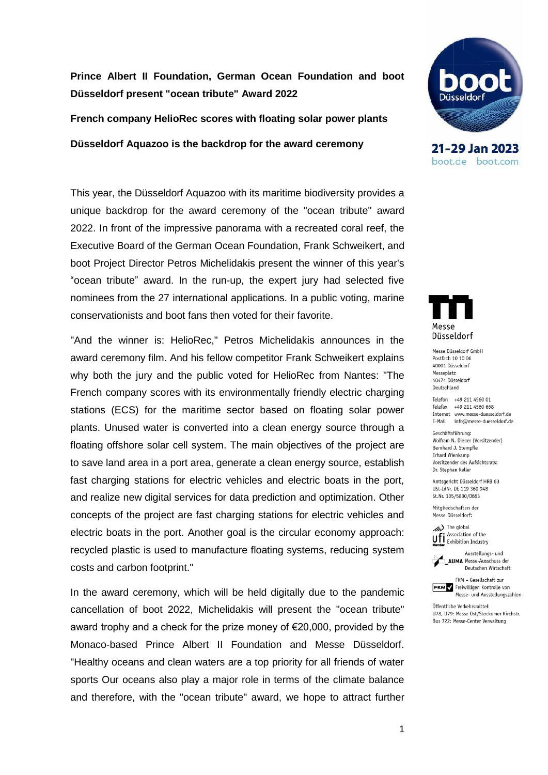**Prince Albert II Foundation, German Ocean Foundation and boot Düsseldorf present "ocean tribute" Award 2022**

**French company HelioRec scores with floating solar power plants** 

**Düsseldorf Aquazoo is the backdrop for the award ceremony**

This year, the Düsseldorf Aquazoo with its maritime biodiversity provides a unique backdrop for the award ceremony of the "ocean tribute" award 2022. In front of the impressive panorama with a recreated coral reef, the Executive Board of the German Ocean Foundation, Frank Schweikert, and boot Project Director Petros Michelidakis present the winner of this year's "ocean tribute" award. In the run-up, the expert jury had selected five nominees from the 27 international applications. In a public voting, marine conservationists and boot fans then voted for their favorite.

"And the winner is: HelioRec," Petros Michelidakis announces in the award ceremony film. And his fellow competitor Frank Schweikert explains why both the jury and the public voted for HelioRec from Nantes: "The French company scores with its environmentally friendly electric charging stations (ECS) for the maritime sector based on floating solar power plants. Unused water is converted into a clean energy source through a floating offshore solar cell system. The main objectives of the project are to save land area in a port area, generate a clean energy source, establish fast charging stations for electric vehicles and electric boats in the port, and realize new digital services for data prediction and optimization. Other concepts of the project are fast charging stations for electric vehicles and electric boats in the port. Another goal is the circular economy approach: recycled plastic is used to manufacture floating systems, reducing system costs and carbon footprint."

In the award ceremony, which will be held digitally due to the pandemic cancellation of boot 2022, Michelidakis will present the "ocean tribute" award trophy and a check for the prize money of  $\epsilon$ 20,000, provided by the Monaco-based Prince Albert II Foundation and Messe Düsseldorf. "Healthy oceans and clean waters are a top priority for all friends of water sports Our oceans also play a major role in terms of the climate balance and therefore, with the "ocean tribute" award, we hope to attract further



21-29 Jan 2023 boot.de boot.com



Mosso Diissoldorf GmhH Postfach 10 10 06 40001 Düsseldorf Messeplatz 40474 Düsseldorf Deutschland

Telefon +49 211 4560 01 Telefax +49 211 4560 668 Internet www.messe-duesseldorf.de E-Mail info@messe-duesseldorf.de

Geschäftsführung: Wolfram N. Diener (Vorsitzender) Bernhard J. Stempfle Erhard Wienkamp Vorsitzender des Aufsichtsrats: Dr. Stephan Keller

Amtsgericht Düsseldorf HRB 63 USt-IdNr. DE 119 360 948 St.Nr. 105/5830/0663

Mitaliedschaften der Messe Düsseldorf:

 $\gg$ ) The global Ufi Association of the



FKM - Gesellschaft zur **FKM** Freiwilligen Kontrolle von Messe- und Ausstellungszahlen

Öffentliche Verkehrsmittel: 1178 1179: Messe Ost/Stockumer Kirchstr. Bus 722: Messe-Center Verwaltung